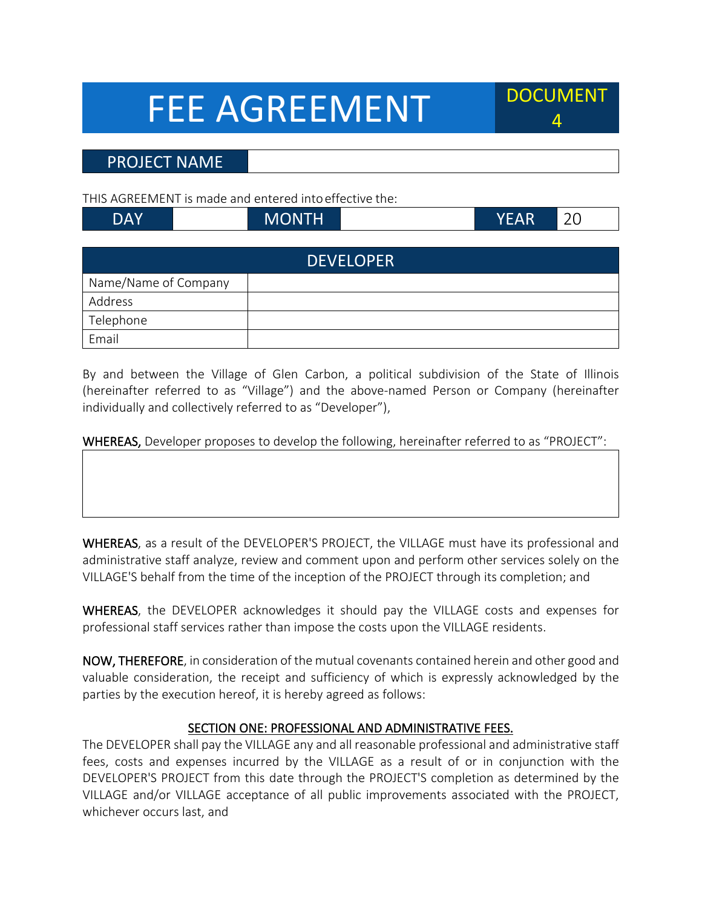# FEE AGREEMENT



## PROJECT NAME

THIS AGREEMENT is made and entered intoeffective the:

| DAY | MONTH | EAR | 20 |
|-----|-------|-----|----|
|     |       |     |    |

| <b>DEVELOPER</b>     |  |  |  |  |
|----------------------|--|--|--|--|
| Name/Name of Company |  |  |  |  |
| Address              |  |  |  |  |
| Telephone            |  |  |  |  |
| Email                |  |  |  |  |

By and between the Village of Glen Carbon, a political subdivision of the State of Illinois (hereinafter referred to as "Village") and the above-named Person or Company (hereinafter individually and collectively referred to as "Developer"),

WHEREAS, Developer proposes to develop the following, hereinafter referred to as "PROJECT":

WHEREAS, as a result of the DEVELOPER'S PROJECT, the VILLAGE must have its professional and administrative staff analyze, review and comment upon and perform other services solely on the VILLAGE'S behalf from the time of the inception of the PROJECT through its completion; and

WHEREAS, the DEVELOPER acknowledges it should pay the VILLAGE costs and expenses for professional staff services rather than impose the costs upon the VILLAGE residents.

NOW, THEREFORE, in consideration of the mutual covenants contained herein and other good and valuable consideration, the receipt and sufficiency of which is expressly acknowledged by the parties by the execution hereof, it is hereby agreed as follows:

## SECTION ONE: PROFESSIONAL AND ADMINISTRATIVE FEES.

The DEVELOPER shall pay the VILLAGE any and all reasonable professional and administrative staff fees, costs and expenses incurred by the VILLAGE as a result of or in conjunction with the DEVELOPER'S PROJECT from this date through the PROJECT'S completion as determined by the VILLAGE and/or VILLAGE acceptance of all public improvements associated with the PROJECT, whichever occurs last, and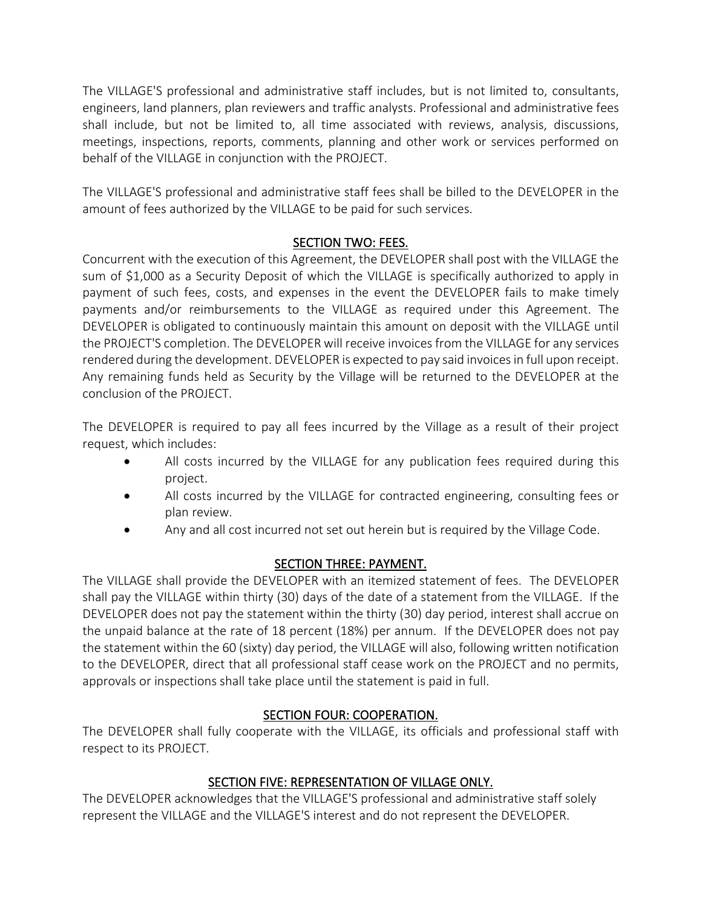The VILLAGE'S professional and administrative staff includes, but is not limited to, consultants, engineers, land planners, plan reviewers and traffic analysts. Professional and administrative fees shall include, but not be limited to, all time associated with reviews, analysis, discussions, meetings, inspections, reports, comments, planning and other work or services performed on behalf of the VILLAGE in conjunction with the PROJECT.

The VILLAGE'S professional and administrative staff fees shall be billed to the DEVELOPER in the amount of fees authorized by the VILLAGE to be paid for such services.

### SECTION TWO: FEES.

Concurrent with the execution of this Agreement, the DEVELOPER shall post with the VILLAGE the sum of \$1,000 as a Security Deposit of which the VILLAGE is specifically authorized to apply in payment of such fees, costs, and expenses in the event the DEVELOPER fails to make timely payments and/or reimbursements to the VILLAGE as required under this Agreement. The DEVELOPER is obligated to continuously maintain this amount on deposit with the VILLAGE until the PROJECT'S completion. The DEVELOPER will receive invoices from the VILLAGE for any services rendered during the development. DEVELOPER is expected to pay said invoices in full upon receipt. Any remaining funds held as Security by the Village will be returned to the DEVELOPER at the conclusion of the PROJECT.

The DEVELOPER is required to pay all fees incurred by the Village as a result of their project request, which includes:

- All costs incurred by the VILLAGE for any publication fees required during this project.
- All costs incurred by the VILLAGE for contracted engineering, consulting fees or plan review.
- Any and all cost incurred not set out herein but is required by the Village Code.

## SECTION THREE: PAYMENT.

The VILLAGE shall provide the DEVELOPER with an itemized statement of fees. The DEVELOPER shall pay the VILLAGE within thirty (30) days of the date of a statement from the VILLAGE. If the DEVELOPER does not pay the statement within the thirty (30) day period, interest shall accrue on the unpaid balance at the rate of 18 percent (18%) per annum. If the DEVELOPER does not pay the statement within the 60 (sixty) day period, the VILLAGE will also, following written notification to the DEVELOPER, direct that all professional staff cease work on the PROJECT and no permits, approvals or inspections shall take place until the statement is paid in full.

## SECTION FOUR: COOPERATION.

The DEVELOPER shall fully cooperate with the VILLAGE, its officials and professional staff with respect to its PROJECT.

## SECTION FIVE: REPRESENTATION OF VILLAGE ONLY.

The DEVELOPER acknowledges that the VILLAGE'S professional and administrative staff solely represent the VILLAGE and the VILLAGE'S interest and do not represent the DEVELOPER.